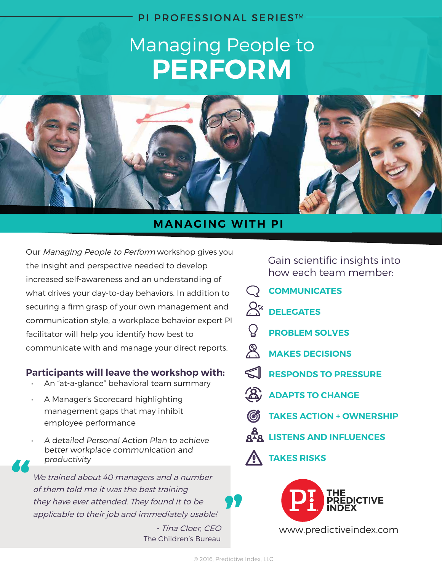#### PI PROFESSIONAL SERIES™

## Managing People to **PERFORM**



#### **MANAGING WITH PI**

Our Managing People to Perform workshop gives you the insight and perspective needed to develop increased self-awareness and an understanding of what drives your day-to-day behaviors. In addition to securing a firm grasp of your own management and communication style, a workplace behavior expert PI facilitator will help you identify how best to communicate with and manage your direct reports.

#### **Participants will leave the workshop with:**

- An "at-a-glance" behavioral team summary
- A Manager's Scorecard highlighting management gaps that may inhibit employee performance
	- A detailed Personal Action Plan to achieve better workplace communication and productivity

We trained about 40 managers and a number of them told me it was the best training they have ever attended. They found it to be applicable to their job and immediately usable!

> - Tina Cloer, CEO The Children's Bureau

Gain scientific insights into how each team member:

- **COMMUNICATES**
- $R^*$ **DELEGATES**
	- **PROBLEM SOLVES**
- $\mathscr{E}_{\Lambda}$ **MAKES DECISIONS**
- *<u>RESPONDS TO PRESSURE</u>*
- **ADAPTS TO CHANGE**
- **TAKES ACTION + OWNERSHIP**
- **LISTENS AND INFLUENCES**